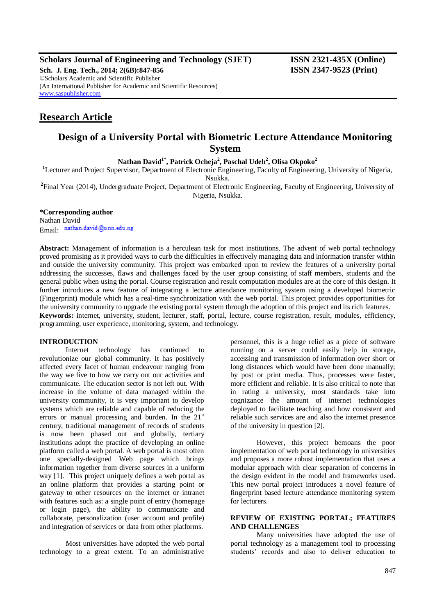# **Scholars Journal of Engineering and Technology (SJET) ISSN 2321-435X (Online)**

**Sch. J. Eng. Tech., 2014; 2(6B):847-856 ISSN 2347-9523 (Print)** ©Scholars Academic and Scientific Publisher (An International Publisher for Academic and Scientific Resources) [www.saspublisher.com](http://www.saspublisher.com/)

# **Research Article**

# **Design of a University Portal with Biometric Lecture Attendance Monitoring System**

**Nathan David1\* , Patrick Ocheja<sup>2</sup> , Paschal Udeh<sup>2</sup> , Olisa Okpoko<sup>2</sup>**

**<sup>1</sup>**Lecturer and Project Supervisor, Department of Electronic Engineering, Faculty of Engineering, University of Nigeria, Nsukka.

**2** Final Year (2014), Undergraduate Project, Department of Electronic Engineering, Faculty of Engineering, University of Nigeria, Nsukka.

# **\*Corresponding author**

Nathan David Email nathan.david@unn.edu.ng

**Abstract:** Management of information is a herculean task for most institutions. The advent of web portal technology proved promising as it provided ways to curb the difficulties in effectively managing data and information transfer within and outside the university community. This project was embarked upon to review the features of a university portal addressing the successes, flaws and challenges faced by the user group consisting of staff members, students and the general public when using the portal. Course registration and result computation modules are at the core of this design. It further introduces a new feature of integrating a lecture attendance monitoring system using a developed biometric (Fingerprint) module which has a real-time synchronization with the web portal. This project provides opportunities for the university community to upgrade the existing portal system through the adoption of this project and its rich features. **Keywords:** internet, university, student, lecturer, staff, portal, lecture, course registration, result, modules, efficiency, programming, user experience, monitoring, system, and technology.

# **INTRODUCTION**

Internet technology has continued to revolutionize our global community. It has positively affected every facet of human endeavour ranging from the way we live to how we carry out our activities and communicate. The education sector is not left out. With increase in the volume of data managed within the university community, it is very important to develop systems which are reliable and capable of reducing the errors or manual processing and burden. In the  $21<sup>st</sup>$ century, traditional management of records of students is now been phased out and globally, tertiary institutions adopt the practice of developing an online platform called a web portal. A web portal is most often one specially-designed Web page which brings information together from diverse sources in a uniform way [1]. This project uniquely defines a web portal as an online platform that provides a starting point or gateway to other resources on the internet or intranet with features such as: a single point of entry (homepage or login page), the ability to communicate and collaborate, personalization (user account and profile) and integration of services or data from other platforms.

Most universities have adopted the web portal technology to a great extent. To an administrative personnel, this is a huge relief as a piece of software running on a server could easily help in storage, accessing and transmission of information over short or long distances which would have been done manually; by post or print media. Thus, processes were faster, more efficient and reliable. It is also critical to note that in rating a university, most standards take into cognizance the amount of internet technologies deployed to facilitate teaching and how consistent and reliable such services are and also the internet presence of the university in question [2].

However, this project bemoans the poor implementation of web portal technology in universities and proposes a more robust implementation that uses a modular approach with clear separation of concerns in the design evident in the model and frameworks used. This new portal project introduces a novel feature of fingerprint based lecture attendance monitoring system for lecturers.

# **REVIEW OF EXISTING PORTAL; FEATURES AND CHALLENGES**

Many universities have adopted the use of portal technology as a management tool to processing students' records and also to deliver education to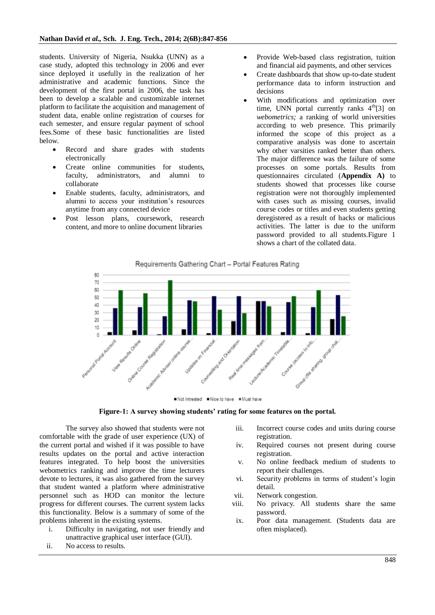students. University of Nigeria, Nsukka (UNN) as a case study, adopted this technology in 2006 and ever since deployed it usefully in the realization of her administrative and academic functions. Since the development of the first portal in 2006, the task has been to develop a scalable and customizable internet platform to facilitate the acquisition and management of student data, enable online registration of courses for each semester, and ensure regular payment of school fees.Some of these basic functionalities are listed below.

- Record and share grades with students electronically
- Create online communities for students, faculty, administrators, and alumni to collaborate
- Enable students, faculty, administrators, and alumni to access your institution's resources anytime from any connected device
- Post lesson plans, coursework, research content, and more to online document libraries
- Provide Web-based class registration, tuition and financial aid payments, and other services
- Create dashboards that show up-to-date student performance data to inform instruction and decisions
- With modifications and optimization over time, UNN portal currently ranks  $4<sup>th</sup>[3]$  on *webometrics;* a ranking of world universities according to web presence. This primarily informed the scope of this project as a comparative analysis was done to ascertain why other varsities ranked better than others. The major difference was the failure of some processes on some portals. Results from questionnaires circulated (**Appendix A)** to students showed that processes like course registration were not thoroughly implemented with cases such as missing courses, invalid course codes or titles and even students getting deregistered as a result of hacks or malicious activities. The latter is due to the uniform password provided to all students.Figure 1 shows a chart of the collated data.

Requirements Gathering Chart - Portal Features Rating



Not Intrested Nice to have Nust have



The survey also showed that students were not comfortable with the grade of user experience (UX) of the current portal and wished if it was possible to have results updates on the portal and active interaction features integrated. To help boost the universities webometrics ranking and improve the time lecturers devote to lectures, it was also gathered from the survey that student wanted a platform where administrative personnel such as HOD can monitor the lecture progress for different courses. The current system lacks this functionality. Below is a summary of some of the problems inherent in the existing systems.

- i. Difficulty in navigating, not user friendly and unattractive graphical user interface (GUI).
- ii. No access to results.
- iii. Incorrect course codes and units during course registration.
- iv. Required courses not present during course registration.
- v. No online feedback medium of students to report their challenges.
- vi. Security problems in terms of student's login detail.
- vii. Network congestion.
- viii. No privacy. All students share the same password.
- ix. Poor data management. (Students data are often misplaced).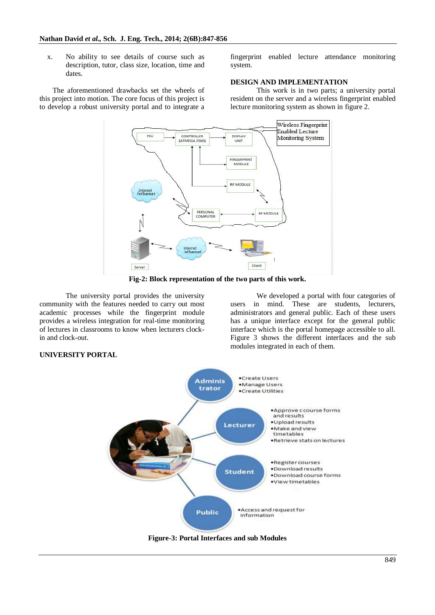x. No ability to see details of course such as description, tutor, class size, location, time and dates.

The aforementioned drawbacks set the wheels of this project into motion. The core focus of this project is to develop a robust university portal and to integrate a

fingerprint enabled lecture attendance monitoring system.

#### **DESIGN AND IMPLEMENTATION**

This work is in two parts; a university portal resident on the server and a wireless fingerprint enabled lecture monitoring system as shown in figure 2.



**Fig-2: Block representation of the two parts of this work.**

The university portal provides the university community with the features needed to carry out most academic processes while the fingerprint module provides a wireless integration for real-time monitoring of lectures in classrooms to know when lecturers clockin and clock-out.

We developed a portal with four categories of users in mind. These are students, lecturers, administrators and general public. Each of these users has a unique interface except for the general public interface which is the portal homepage accessible to all. Figure 3 shows the different interfaces and the sub modules integrated in each of them.



**Figure-3: Portal Interfaces and sub Modules**

# **UNIVERSITY PORTAL**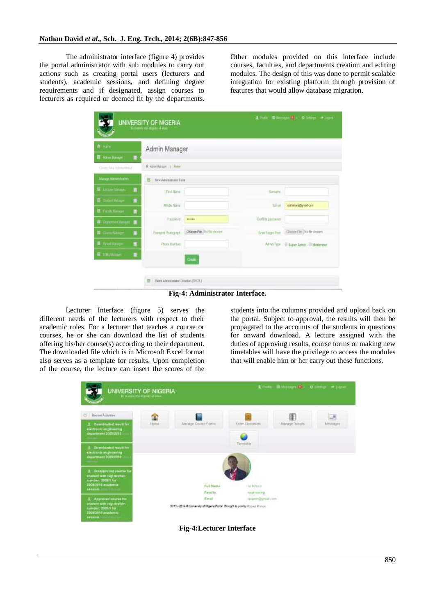The administrator interface (figure 4) provides the portal administrator with sub modules to carry out actions such as creating portal users (lecturers and students), academic sessions, and defining degree requirements and if designated, assign courses to lecturers as required or deemed fit by the departments.

Other modules provided on this interface include courses, faculties, and departments creation and editing modules. The design of this was done to permit scalable integration for existing platform through provision of features that would allow database migration.

| ft mm                      | Admin Manager            |                              |                         |                                           |  |
|----------------------------|--------------------------|------------------------------|-------------------------|-------------------------------------------|--|
| <b>■ Annetterape ■</b>     |                          |                              |                         |                                           |  |
| Cross for a hitmenball     | A Administrator in Novel |                              |                         |                                           |  |
| Manage Attraumbation       | New Administrator Form   |                              |                         |                                           |  |
| Letter thousand<br>٠       | <b>First Name</b>        |                              | Service.                |                                           |  |
| <b>Salte of Matta</b><br>п | MASE Name                |                              | <b>Brail</b>            | commers@gmal.cam                          |  |
| 图 Tuck Newpr<br>٠          |                          |                              |                         |                                           |  |
| <b>E</b> Caparment Wa<br>٠ | Passwort                 | -                            | Coden passwort          |                                           |  |
| Count Manger<br>٠<br>ø     | Perspot Photograph       | Choose File / To file choose | <b>Scar Figure Pine</b> | Chronoltie Hir Bechosen                   |  |
| 准 And Respe<br>٠           | Phone Bandes             |                              |                         | Admin/Type : @ Super Admin : 01 Maderator |  |
| <b>IE</b> this www.<br>۰   |                          | Online                       |                         |                                           |  |

**Fig-4: Administrator Interface.**

Lecturer Interface (figure 5) serves the different needs of the lecturers with respect to their academic roles. For a lecturer that teaches a course or courses, he or she can download the list of students offering his/her course(s) according to their department. The downloaded file which is in Microsoft Excel format also serves as a template for results. Upon completion of the course, the lecture can insert the scores of the

students into the columns provided and upload back on the portal. Subject to approval, the results will then be propagated to the accounts of the students in questions for onward download. A lecture assigned with the duties of approving results, course forms or making new timetables will have the privilege to access the modules that will enable him or her carry out these functions.



**Fig-4:Lecturer Interface**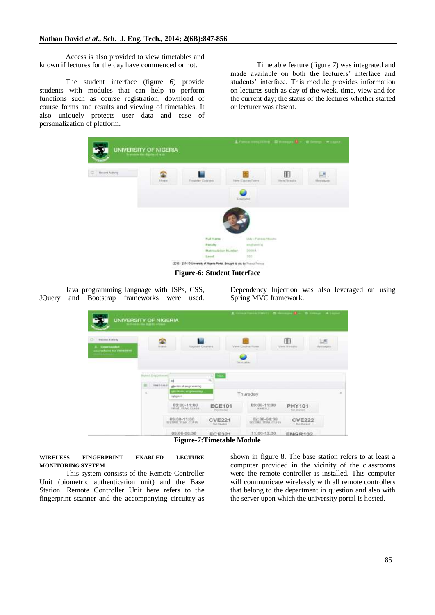Access is also provided to view timetables and known if lectures for the day have commenced or not.

The student interface (figure 6) provide students with modules that can help to perform functions such as course registration, download of course forms and results and viewing of timetables. It also uniquely protects user data and ease of personalization of platform.

Timetable feature (figure 7) was integrated and made available on both the lecturers' interface and students' interface. This module provides information on lectures such as day of the week, time, view and for the current day; the status of the lectures whether started or lecturer was absent.



**Figure-6: Student Interface** 

Java programming language with JSPs, CSS, JQuery and Bootstrap frameworks were used.

Dependency Injection was also leveraged on using Spring MVC framework.

|                                                                          | UNIVERSITY OF NIGERIA                                              |                                                                             |                                                                          | <b>CONNECTION OF A REPORT OF A REPORT OF A PARTIES</b>                  |                                                                  |               |
|--------------------------------------------------------------------------|--------------------------------------------------------------------|-----------------------------------------------------------------------------|--------------------------------------------------------------------------|-------------------------------------------------------------------------|------------------------------------------------------------------|---------------|
| C  - Weisen Australy<br><b>J. Bowerander</b><br>americkens for SUISSISTS | <b>GO</b><br><b>Standard</b>                                       | 1991<br><b>Hogstein Crostens</b>                                            |                                                                          | <b>Mental Cincense</b> Planny<br>Turariation                            | 吅<br>Viena Winsaltz                                              | u.<br>Managen |
|                                                                          | <b>Bused Dispositions</b><br><b>HARABALTING</b><br>TIMETARES.<br>× | м<br>electrical engineering<br><b><i>EXCITED HYDROGETA</i></b><br>rationed. | <b>Max</b><br>$-1$<br>13.                                                | Thursday                                                                |                                                                  | ×             |
|                                                                          |                                                                    | 09:00-11:00<br>TINT VEAK CLASS<br>$09:00-11:00$<br>RECONSULTING CLASS       | <b>ECE101</b><br>Puts (Blicker)<br><b>CVE221</b><br><b>Chief Minibia</b> | 09:00-11:00<br><b>HMKERT</b><br>02:00-04:30<br><b>BECOME STAK CLASS</b> | PHY101<br><b>Nort Dramed</b><br><b>CVE222</b><br>. But 25 aren't |               |
|                                                                          |                                                                    | 05:00-06:30                                                                 | <b>FCE321</b>                                                            | THE STATE RESIDENCE AND RESIDENCE<br>11:00-13:30                        | ENGR102                                                          |               |

**Figure-7:Timetable Module**

**WIRELESS FINGERPRINT ENABLED LECTURE MONITORING SYSTEM** 

This system consists of the Remote Controller Unit (biometric authentication unit) and the Base Station. Remote Controller Unit here refers to the fingerprint scanner and the accompanying circuitry as

shown in figure 8. The base station refers to at least a computer provided in the vicinity of the classrooms were the remote controller is installed. This computer will communicate wirelessly with all remote controllers that belong to the department in question and also with the server upon which the university portal is hosted.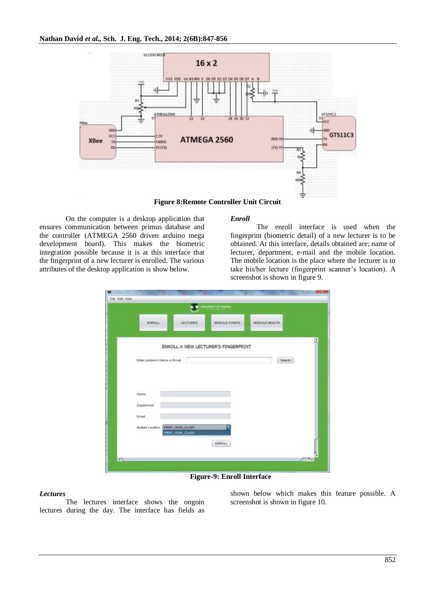

**Figure 8:Remote Controller Unit Circuit**

On the computer is a desktop application that ensures communication between primus database and the controller (ATMEGA 2560 driven arduino mega development board). This makes the biometric integration possible because it is at this interface that the fingerprint of a new lecturer is enrolled. The various attributes of the desktop application is show below.

# *Enroll*

The enroll interface is used when the fingerprint (biometric detail) of a new lecturer is to be obtained. At this interface, details obtained are; name of lecturer, department, e-mail and the mobile location. The mobile location is the place where the lecturer is to take his/her lecture (fingerprint scanner's location). A screenshot is shown in figure 9.

| LinkerHeight Dr Worthin                                                  |
|--------------------------------------------------------------------------|
| <b>LECTURED</b><br>ENFOXA:<br>MODULE CONPIG.<br>MODULE HEALTH:           |
|                                                                          |
| ENROLL A NEW LECTURER'S FINGERPRINT                                      |
| Enter Lecturer's Name or Email<br>Seatch<br>in ferme de ferment 1986 (19 |
|                                                                          |
| Name:                                                                    |
| Department                                                               |
| <b>COLES</b><br>Errish                                                   |
| Module Location   FIRST_YEAR_CLASS<br>FWITT, YEAR, CLASS                 |
|                                                                          |
| ENROLL                                                                   |

**Figure-9: Enroll Interface**

# *Lectures*

The lectures interface shows the ongoin lectures during the day. The interface has fields as

shown below which makes this feature possible. A screenshot is shown in figure 10.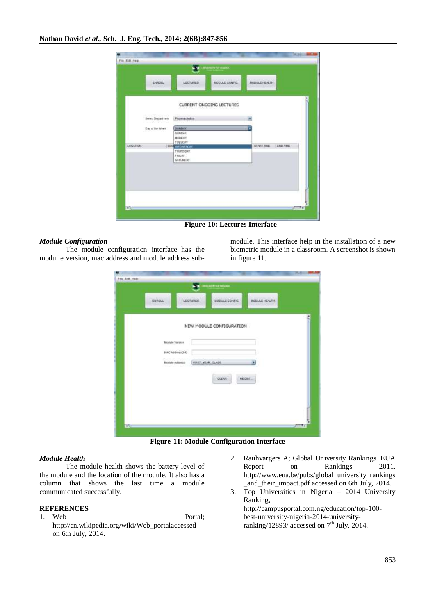|           | ENROLL                                         | LECTURES                  | WITCH-SANDTAN<br>MODULE CONFIG. | <b><i>MODULE HEALTH</i></b> |                |
|-----------|------------------------------------------------|---------------------------|---------------------------------|-----------------------------|----------------|
|           |                                                |                           | <b>WEIGHT</b>                   | <b>Service State</b>        |                |
|           |                                                |                           | CURRENT ONGOING LECTURES        |                             |                |
|           |                                                |                           |                                 |                             |                |
|           | WORKSHOP CO<br>Steet Department<br>7. ISBN 977 | Pharmaceutin              |                                 |                             |                |
|           | Day of the Week                                | 26,810,000                |                                 |                             |                |
|           |                                                | SLAUDAY<br><b>MOVEMY</b>  |                                 |                             |                |
|           |                                                | <b>TUESOAY</b>            |                                 |                             |                |
| LOCATION. |                                                | 100 MEDIGEROW<br>THURSDAY |                                 | <b>BTART THE</b>            | <b>END THE</b> |
|           |                                                | FREGO.                    |                                 |                             |                |
|           |                                                | SATURDAY                  |                                 |                             |                |
|           |                                                |                           |                                 |                             |                |
|           |                                                |                           |                                 |                             |                |
|           |                                                |                           |                                 |                             |                |
|           |                                                |                           |                                 |                             |                |
|           |                                                |                           |                                 |                             |                |

**Figure-10: Lectures Interface**

# *Module Configuration*

The module configuration interface has the moduile version, mac address and module address submodule. This interface help in the installation of a new biometric module in a classroom. A screenshot is shown in figure 11.

|                                                 |                               | <b>LOCAL CONSESSION</b> OF ENGINES. |                                |  |
|-------------------------------------------------|-------------------------------|-------------------------------------|--------------------------------|--|
| <b>CASTLE</b><br><b>ENROLL</b>                  | 4524512318<br><b>LECTURES</b> | <b>MENSIONER</b><br>MODULE CONFIG.  | <b>MODES</b><br>MODULE HEALTH. |  |
|                                                 |                               |                                     |                                |  |
|                                                 |                               | NEW MODULE CONFIGURATION            |                                |  |
|                                                 |                               |                                     |                                |  |
| Modulo Varsian                                  |                               |                                     |                                |  |
| <b>HAC Address(64)</b><br><b>Module Address</b> |                               |                                     |                                |  |
| avent.                                          |                               | FIRST, YEAR, CLASS                  | i.                             |  |
|                                                 |                               | <b>OLEAR</b>                        | REGIST.                        |  |
|                                                 |                               |                                     |                                |  |
|                                                 |                               |                                     |                                |  |
|                                                 |                               |                                     |                                |  |
|                                                 |                               |                                     |                                |  |

**Figure-11: Module Configuration Interface**

# *Module Health*

The module health shows the battery level of the module and the location of the module. It also has a column that shows the last time a module communicated successfully.

# **REFERENCES**

- 1. Web Portal; http://en.wikipedia.org/wiki/Web\_portalaccessed on 6th July, 2014.
- 2. Rauhvargers A; Global University Rankings. EUA Report on Rankings 2011. http://www.eua.be/pubs/global\_university\_rankings \_and\_their\_impact.pdf accessed on 6th July, 2014.
- 3. Top Universities in Nigeria 2014 University Ranking, http://campusportal.com.ng/education/top-100 best-university-nigeria-2014-universityranking/12893/ accessed on  $7<sup>th</sup>$  July, 2014.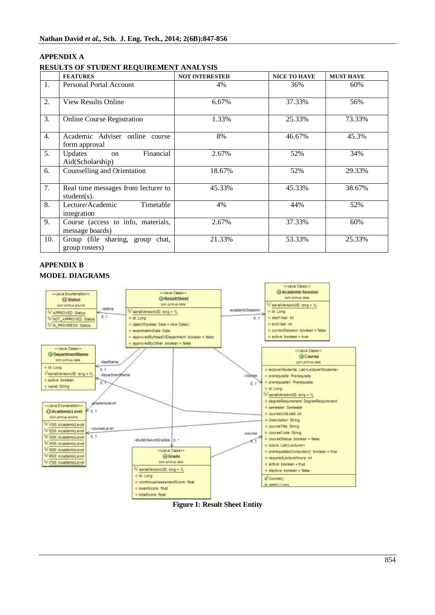# **APPENDIX A RESULTS OF STUDENT REQUIREMENT ANALYSIS**

|                  | <b>FEATURES</b>                                           | <b>NOT INTERESTED</b> | <b>NICE TO HAVE</b> | <b>MUST HAVE</b> |
|------------------|-----------------------------------------------------------|-----------------------|---------------------|------------------|
| 1.               | Personal Portal Account                                   | 4%                    | 36%                 | 60%              |
| 2.               | <b>View Results Online</b>                                | 6.67%                 | 37.33%              | 56%              |
| 3.               | <b>Online Course Registration</b>                         | 1.33%                 | 25.33%              | 73.33%           |
| $\overline{4}$ . | Academic Adviser online course<br>form approval           | 8%                    | 46.67%              | 45.3%            |
| 5.               | Financial<br>Updates<br><sub>on</sub><br>Aid(Scholarship) | 2.67%                 | 52%                 | 34%              |
| 6.               | Counselling and Orientation                               | 18.67%                | 52%                 | 29.33%           |
| 7.               | Real time messages from lecturer to<br>student(s).        | 45.33%                | 45.33%              | 38.67%           |
| 8.               | Timetable<br>Lecture/Academic<br>integration              | 4%                    | 44%                 | 52%              |
| 9.               | Course (access to info, materials,<br>message boards)     | 2.67%                 | 37.33%              | 60%              |
| 10.              | Group (file sharing, group<br>chat.<br>group rosters)     | 21.33%                | 53.33%              | 25.33%           |

# **APPENDIX B MODEL DIAGRAMS**



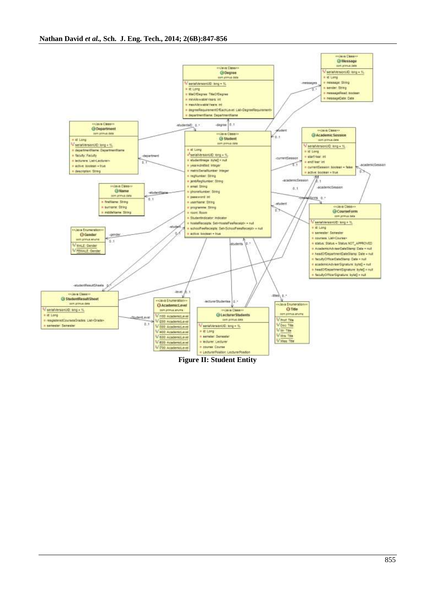

**Figure II: Student Entity**